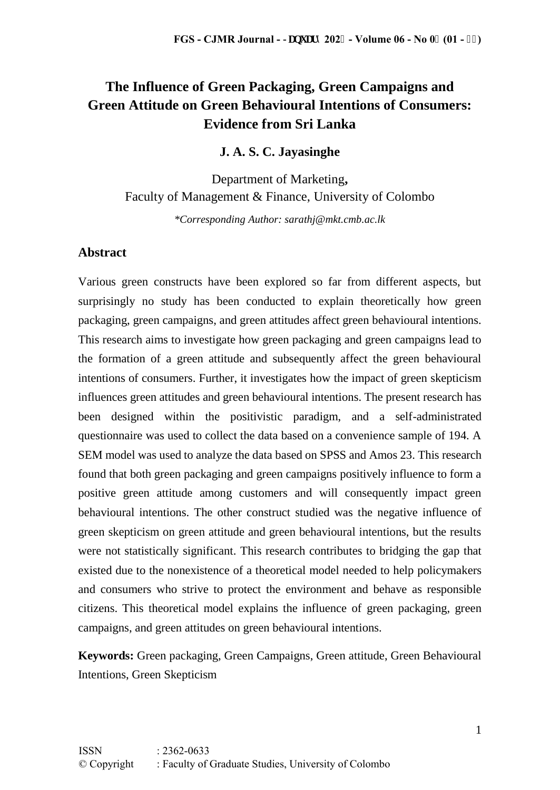# **The Influence of Green Packaging, Green Campaigns and Green Attitude on Green Behavioural Intentions of Consumers: Evidence from Sri Lanka**

### **J. A. S. C. Jayasinghe**

Department of Marketing**,**  Faculty of Management & Finance, University of Colombo

*\*Corresponding Author: sarathj@mkt.cmb.ac.lk*

### **Abstract**

Various green constructs have been explored so far from different aspects, but surprisingly no study has been conducted to explain theoretically how green packaging, green campaigns, and green attitudes affect green behavioural intentions. This research aims to investigate how green packaging and green campaigns lead to the formation of a green attitude and subsequently affect the green behavioural intentions of consumers. Further, it investigates how the impact of green skepticism influences green attitudes and green behavioural intentions. The present research has been designed within the positivistic paradigm, and a self-administrated questionnaire was used to collect the data based on a convenience sample of 194. A SEM model was used to analyze the data based on SPSS and Amos 23. This research found that both green packaging and green campaigns positively influence to form a positive green attitude among customers and will consequently impact green behavioural intentions. The other construct studied was the negative influence of green skepticism on green attitude and green behavioural intentions, but the results were not statistically significant. This research contributes to bridging the gap that existed due to the nonexistence of a theoretical model needed to help policymakers and consumers who strive to protect the environment and behave as responsible citizens. This theoretical model explains the influence of green packaging, green campaigns, and green attitudes on green behavioural intentions.

**Keywords:** Green packaging, Green Campaigns, Green attitude, Green Behavioural Intentions, Green Skepticism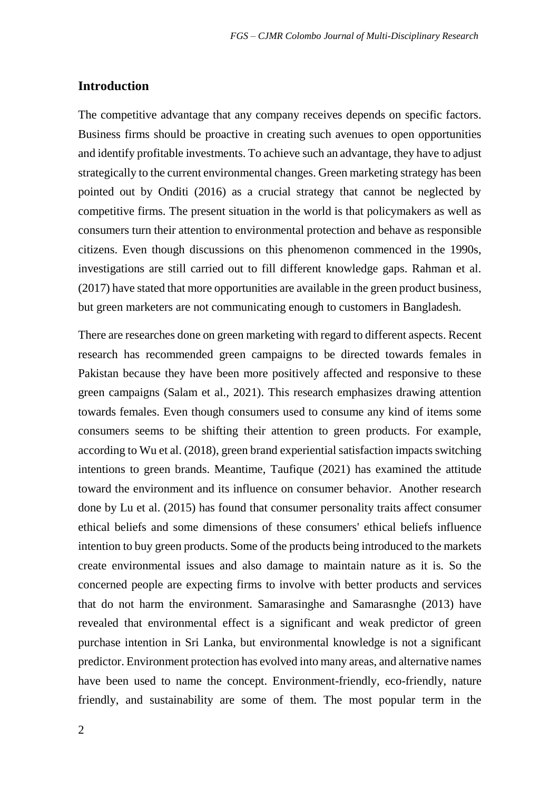### **Introduction**

The competitive advantage that any company receives depends on specific factors. Business firms should be proactive in creating such avenues to open opportunities and identify profitable investments. To achieve such an advantage, they have to adjust strategically to the current environmental changes. Green marketing strategy has been pointed out by Onditi (2016) as a crucial strategy that cannot be neglected by competitive firms. The present situation in the world is that policymakers as well as consumers turn their attention to environmental protection and behave as responsible citizens. Even though discussions on this phenomenon commenced in the 1990s, investigations are still carried out to fill different knowledge gaps. Rahman et al. (2017) have stated that more opportunities are available in the green product business, but green marketers are not communicating enough to customers in Bangladesh.

There are researches done on green marketing with regard to different aspects. Recent research has recommended green campaigns to be directed towards females in Pakistan because they have been more positively affected and responsive to these green campaigns (Salam et al., 2021). This research emphasizes drawing attention towards females. Even though consumers used to consume any kind of items some consumers seems to be shifting their attention to green products. For example, according to Wu et al. (2018), green brand experiential satisfaction impacts switching intentions to green brands. Meantime, Taufique (2021) has examined the attitude toward the environment and its influence on consumer behavior. Another research done by Lu et al. (2015) has found that consumer personality traits affect consumer ethical beliefs and some dimensions of these consumers' ethical beliefs influence intention to buy green products. Some of the products being introduced to the markets create environmental issues and also damage to maintain nature as it is. So the concerned people are expecting firms to involve with better products and services that do not harm the environment. Samarasinghe and Samarasnghe (2013) have revealed that environmental effect is a significant and weak predictor of green purchase intention in Sri Lanka, but environmental knowledge is not a significant predictor. Environment protection has evolved into many areas, and alternative names have been used to name the concept. Environment-friendly, eco-friendly, nature friendly, and sustainability are some of them. The most popular term in the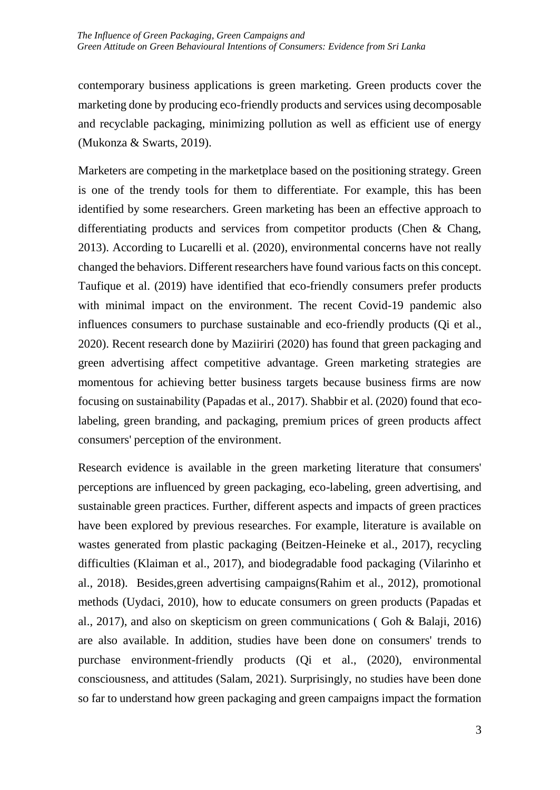contemporary business applications is green marketing. Green products cover the marketing done by producing eco-friendly products and services using decomposable and recyclable packaging, minimizing pollution as well as efficient use of energy (Mukonza & Swarts, 2019).

Marketers are competing in the marketplace based on the positioning strategy. Green is one of the trendy tools for them to differentiate. For example, this has been identified by some researchers. Green marketing has been an effective approach to differentiating products and services from competitor products (Chen & Chang, 2013). According to Lucarelli et al. (2020), environmental concerns have not really changed the behaviors. Different researchers have found various facts on this concept. Taufique et al. (2019) have identified that eco-friendly consumers prefer products with minimal impact on the environment. The recent Covid-19 pandemic also influences consumers to purchase sustainable and eco-friendly products (Qi et al., 2020). Recent research done by Maziiriri (2020) has found that green packaging and green advertising affect competitive advantage. Green marketing strategies are momentous for achieving better business targets because business firms are now focusing on sustainability (Papadas et al., 2017). Shabbir et al. (2020) found that ecolabeling, green branding, and packaging, premium prices of green products affect consumers' perception of the environment.

Research evidence is available in the green marketing literature that consumers' perceptions are influenced by green packaging, eco-labeling, green advertising, and sustainable green practices. Further, different aspects and impacts of green practices have been explored by previous researches. For example, literature is available on wastes generated from plastic packaging (Beitzen-Heineke et al., 2017), recycling difficulties (Klaiman et al., 2017), and biodegradable food packaging (Vilarinho et al., 2018). Besides,green advertising campaigns(Rahim et al., 2012), promotional methods (Uydaci, 2010), how to educate consumers on green products (Papadas et al., 2017), and also on skepticism on green communications ( Goh & Balaji, 2016) are also available. In addition, studies have been done on consumers' trends to purchase environment-friendly products (Qi et al., (2020), environmental consciousness, and attitudes (Salam, 2021). Surprisingly, no studies have been done so far to understand how green packaging and green campaigns impact the formation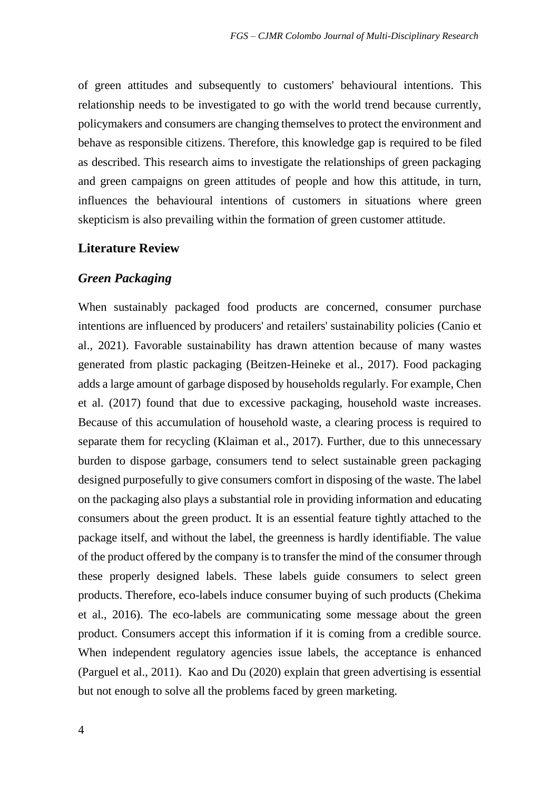of green attitudes and subsequently to customers' behavioural intentions. This relationship needs to be investigated to go with the world trend because currently, policymakers and consumers are changing themselves to protect the environment and behave as responsible citizens. Therefore, this knowledge gap is required to be filed as described. This research aims to investigate the relationships of green packaging and green campaigns on green attitudes of people and how this attitude, in turn, influences the behavioural intentions of customers in situations where green skepticism is also prevailing within the formation of green customer attitude.

#### **Literature Review**

#### *Green Packaging*

When sustainably packaged food products are concerned, consumer purchase intentions are influenced by producers' and retailers' sustainability policies (Canio et al., 2021). Favorable sustainability has drawn attention because of many wastes generated from plastic packaging (Beitzen-Heineke et al., 2017). Food packaging adds a large amount of garbage disposed by households regularly. For example, Chen et al. (2017) found that due to excessive packaging, household waste increases. Because of this accumulation of household waste, a clearing process is required to separate them for recycling (Klaiman et al., 2017). Further, due to this unnecessary burden to dispose garbage, consumers tend to select sustainable green packaging designed purposefully to give consumers comfort in disposing of the waste. The label on the packaging also plays a substantial role in providing information and educating consumers about the green product. It is an essential feature tightly attached to the package itself, and without the label, the greenness is hardly identifiable. The value of the product offered by the company is to transfer the mind of the consumer through these properly designed labels. These labels guide consumers to select green products. Therefore, eco-labels induce consumer buying of such products (Chekima et al., 2016). The eco-labels are communicating some message about the green product. Consumers accept this information if it is coming from a credible source. When independent regulatory agencies issue labels, the acceptance is enhanced (Parguel et al., 2011). Kao and Du (2020) explain that green advertising is essential but not enough to solve all the problems faced by green marketing.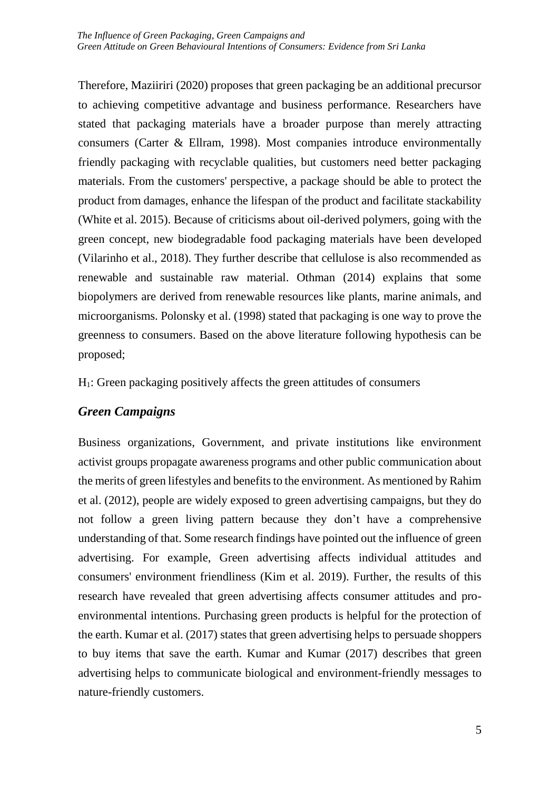Therefore, Maziiriri (2020) proposes that green packaging be an additional precursor to achieving competitive advantage and business performance. Researchers have stated that packaging materials have a broader purpose than merely attracting consumers (Carter & Ellram, 1998). Most companies introduce environmentally friendly packaging with recyclable qualities, but customers need better packaging materials. From the customers' perspective, a package should be able to protect the product from damages, enhance the lifespan of the product and facilitate stackability (White et al. 2015). Because of criticisms about oil-derived polymers, going with the green concept, new biodegradable food packaging materials have been developed (Vilarinho et al., 2018). They further describe that cellulose is also recommended as renewable and sustainable raw material. Othman (2014) explains that some biopolymers are derived from renewable resources like plants, marine animals, and microorganisms. Polonsky et al. (1998) stated that packaging is one way to prove the greenness to consumers. Based on the above literature following hypothesis can be proposed;

H1: Green packaging positively affects the green attitudes of consumers

## *Green Campaigns*

Business organizations, Government, and private institutions like environment activist groups propagate awareness programs and other public communication about the merits of green lifestyles and benefits to the environment. As mentioned by Rahim et al. (2012), people are widely exposed to green advertising campaigns, but they do not follow a green living pattern because they don't have a comprehensive understanding of that. Some research findings have pointed out the influence of green advertising. For example, Green advertising affects individual attitudes and consumers' environment friendliness (Kim et al. 2019). Further, the results of this research have revealed that green advertising affects consumer attitudes and proenvironmental intentions. Purchasing green products is helpful for the protection of the earth. Kumar et al. (2017) states that green advertising helps to persuade shoppers to buy items that save the earth. Kumar and Kumar (2017) describes that green advertising helps to communicate biological and environment-friendly messages to nature-friendly customers.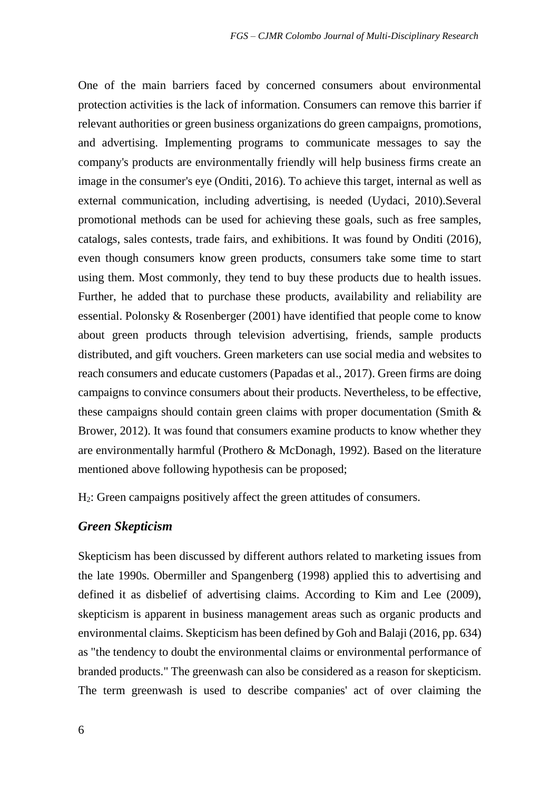One of the main barriers faced by concerned consumers about environmental protection activities is the lack of information. Consumers can remove this barrier if relevant authorities or green business organizations do green campaigns, promotions, and advertising. Implementing programs to communicate messages to say the company's products are environmentally friendly will help business firms create an image in the consumer's eye (Onditi, 2016). To achieve this target, internal as well as external communication, including advertising, is needed (Uydaci, 2010).Several promotional methods can be used for achieving these goals, such as free samples, catalogs, sales contests, trade fairs, and exhibitions. It was found by Onditi (2016), even though consumers know green products, consumers take some time to start using them. Most commonly, they tend to buy these products due to health issues. Further, he added that to purchase these products, availability and reliability are essential. Polonsky & Rosenberger (2001) have identified that people come to know about green products through television advertising, friends, sample products distributed, and gift vouchers. Green marketers can use social media and websites to reach consumers and educate customers (Papadas et al., 2017). Green firms are doing campaigns to convince consumers about their products. Nevertheless, to be effective, these campaigns should contain green claims with proper documentation (Smith  $\&$ Brower, 2012). It was found that consumers examine products to know whether they are environmentally harmful (Prothero & McDonagh, 1992). Based on the literature mentioned above following hypothesis can be proposed;

H2: Green campaigns positively affect the green attitudes of consumers.

### *Green Skepticism*

Skepticism has been discussed by different authors related to marketing issues from the late 1990s. Obermiller and Spangenberg (1998) applied this to advertising and defined it as disbelief of advertising claims. According to Kim and Lee (2009), skepticism is apparent in business management areas such as organic products and environmental claims. Skepticism has been defined by Goh and Balaji (2016, pp. 634) as "the tendency to doubt the environmental claims or environmental performance of branded products." The greenwash can also be considered as a reason for skepticism. The term greenwash is used to describe companies' act of over claiming the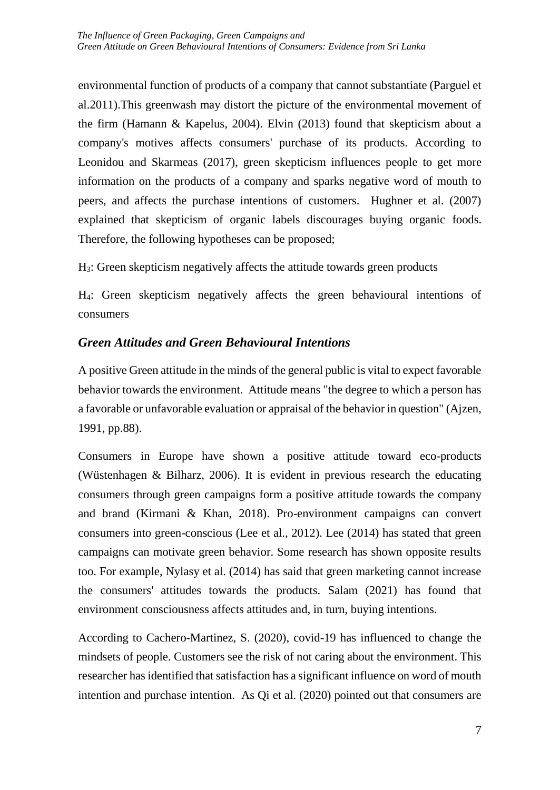environmental function of products of a company that cannot substantiate (Parguel et al.2011).This greenwash may distort the picture of the environmental movement of the firm (Hamann & Kapelus, 2004). Elvin (2013) found that skepticism about a company's motives affects consumers' purchase of its products. According to Leonidou and Skarmeas (2017), green skepticism influences people to get more information on the products of a company and sparks negative word of mouth to peers, and affects the purchase intentions of customers. Hughner et al. (2007) explained that skepticism of organic labels discourages buying organic foods. Therefore, the following hypotheses can be proposed;

H3: Green skepticism negatively affects the attitude towards green products

H4: Green skepticism negatively affects the green behavioural intentions of consumers

## *Green Attitudes and Green Behavioural Intentions*

A positive Green attitude in the minds of the general public is vital to expect favorable behavior towards the environment. Attitude means "the degree to which a person has a favorable or unfavorable evaluation or appraisal of the behavior in question" (Ajzen, 1991, pp.88).

Consumers in Europe have shown a positive attitude toward eco-products (Wüstenhagen & Bilharz, 2006). It is evident in previous research the educating consumers through green campaigns form a positive attitude towards the company and brand (Kirmani & Khan, 2018). Pro-environment campaigns can convert consumers into green-conscious (Lee et al., 2012). Lee (2014) has stated that green campaigns can motivate green behavior. Some research has shown opposite results too. For example, Nylasy et al. (2014) has said that green marketing cannot increase the consumers' attitudes towards the products. Salam (2021) has found that environment consciousness affects attitudes and, in turn, buying intentions.

According to Cachero-Martinez, S. (2020), covid-19 has influenced to change the mindsets of people. Customers see the risk of not caring about the environment. This researcher has identified that satisfaction has a significant influence on word of mouth intention and purchase intention. As Qi et al. (2020) pointed out that consumers are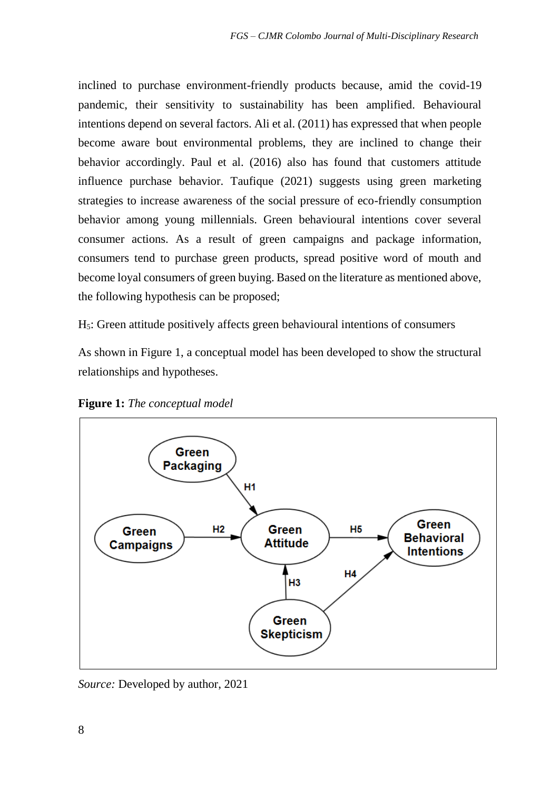inclined to purchase environment-friendly products because, amid the covid-19 pandemic, their sensitivity to sustainability has been amplified. Behavioural intentions depend on several factors. Ali et al. (2011) has expressed that when people become aware bout environmental problems, they are inclined to change their behavior accordingly. Paul et al. (2016) also has found that customers attitude influence purchase behavior. Taufique (2021) suggests using green marketing strategies to increase awareness of the social pressure of eco-friendly consumption behavior among young millennials. Green behavioural intentions cover several consumer actions. As a result of green campaigns and package information, consumers tend to purchase green products, spread positive word of mouth and become loyal consumers of green buying. Based on the literature as mentioned above, the following hypothesis can be proposed;

H5: Green attitude positively affects green behavioural intentions of consumers

As shown in Figure 1, a conceptual model has been developed to show the structural relationships and hypotheses.



**Figure 1:** *The conceptual model*

*Source:* Developed by author, 2021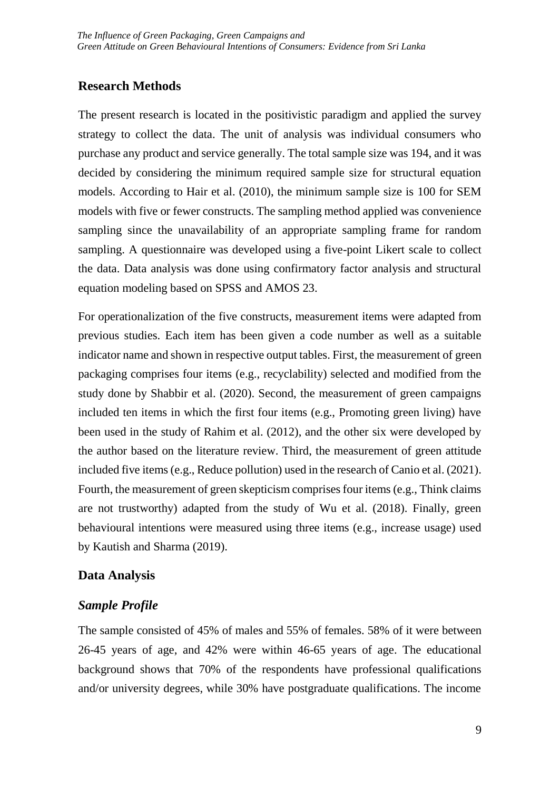## **Research Methods**

The present research is located in the positivistic paradigm and applied the survey strategy to collect the data. The unit of analysis was individual consumers who purchase any product and service generally. The total sample size was 194, and it was decided by considering the minimum required sample size for structural equation models. According to Hair et al. (2010), the minimum sample size is 100 for SEM models with five or fewer constructs. The sampling method applied was convenience sampling since the unavailability of an appropriate sampling frame for random sampling. A questionnaire was developed using a five-point Likert scale to collect the data. Data analysis was done using confirmatory factor analysis and structural equation modeling based on SPSS and AMOS 23.

For operationalization of the five constructs, measurement items were adapted from previous studies. Each item has been given a code number as well as a suitable indicator name and shown in respective output tables. First, the measurement of green packaging comprises four items (e.g., recyclability) selected and modified from the study done by Shabbir et al. (2020). Second, the measurement of green campaigns included ten items in which the first four items (e.g., Promoting green living) have been used in the study of Rahim et al. (2012), and the other six were developed by the author based on the literature review. Third, the measurement of green attitude included five items (e.g., Reduce pollution) used in the research of Canio et al. (2021). Fourth, the measurement of green skepticism comprises four items (e.g., Think claims are not trustworthy) adapted from the study of Wu et al. (2018). Finally, green behavioural intentions were measured using three items (e.g., increase usage) used by Kautish and Sharma (2019).

## **Data Analysis**

# *Sample Profile*

The sample consisted of 45% of males and 55% of females. 58% of it were between 26-45 years of age, and 42% were within 46-65 years of age. The educational background shows that 70% of the respondents have professional qualifications and/or university degrees, while 30% have postgraduate qualifications. The income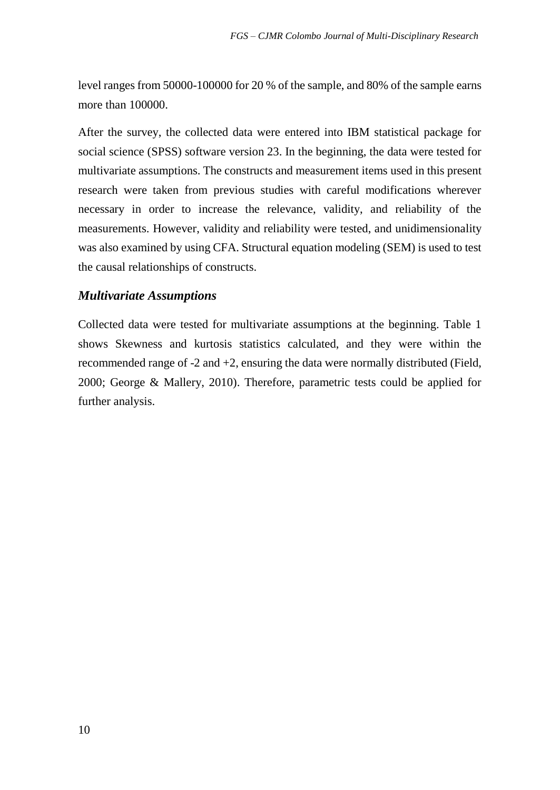level ranges from 50000-100000 for 20 % of the sample, and 80% of the sample earns more than 100000.

After the survey, the collected data were entered into IBM statistical package for social science (SPSS) software version 23. In the beginning, the data were tested for multivariate assumptions. The constructs and measurement items used in this present research were taken from previous studies with careful modifications wherever necessary in order to increase the relevance, validity, and reliability of the measurements. However, validity and reliability were tested, and unidimensionality was also examined by using CFA. Structural equation modeling (SEM) is used to test the causal relationships of constructs.

### *Multivariate Assumptions*

Collected data were tested for multivariate assumptions at the beginning. Table 1 shows Skewness and kurtosis statistics calculated, and they were within the recommended range of -2 and +2, ensuring the data were normally distributed (Field, 2000; George & Mallery, 2010). Therefore, parametric tests could be applied for further analysis.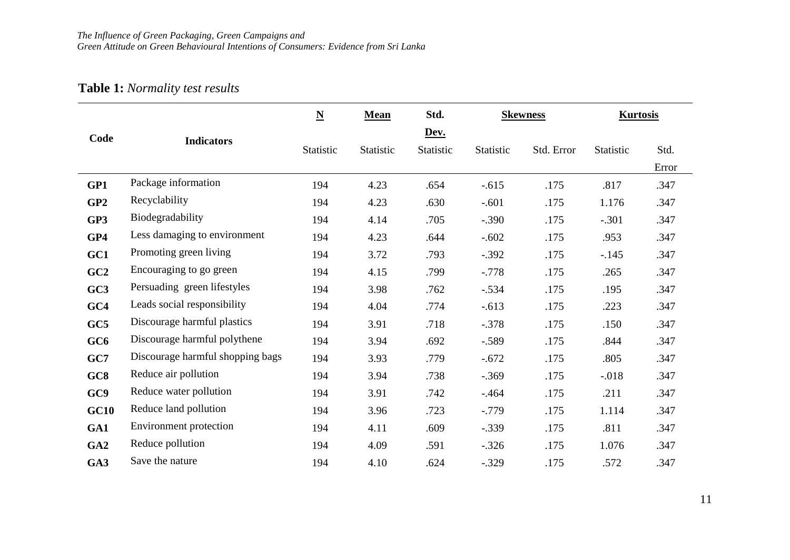# **Table 1:** *Normality test results*

|                 |                                  | $\underline{\mathbf{N}}$ | Mean             | Std.             |                  | <b>Skewness</b> | <b>Kurtosis</b>  |       |
|-----------------|----------------------------------|--------------------------|------------------|------------------|------------------|-----------------|------------------|-------|
| Code            | <b>Indicators</b>                |                          |                  | Dev.             |                  |                 |                  |       |
|                 |                                  | <b>Statistic</b>         | <b>Statistic</b> | <b>Statistic</b> | <b>Statistic</b> | Std. Error      | <b>Statistic</b> | Std.  |
|                 |                                  |                          |                  |                  |                  |                 |                  | Error |
| GP1             | Package information              | 194                      | 4.23             | .654             | $-.615$          | .175            | .817             | .347  |
| GP2             | Recyclability                    | 194                      | 4.23             | .630             | $-.601$          | .175            | 1.176            | .347  |
| GP3             | Biodegradability                 | 194                      | 4.14             | .705             | $-.390$          | .175            | $-.301$          | .347  |
| GP4             | Less damaging to environment     | 194                      | 4.23             | .644             | $-.602$          | .175            | .953             | .347  |
| GC1             | Promoting green living           | 194                      | 3.72             | .793             | $-.392$          | .175            | $-.145$          | .347  |
| GC2             | Encouraging to go green          | 194                      | 4.15             | .799             | $-.778$          | .175            | .265             | .347  |
| GC3             | Persuading green lifestyles      | 194                      | 3.98             | .762             | $-.534$          | .175            | .195             | .347  |
| GC4             | Leads social responsibility      | 194                      | 4.04             | .774             | $-.613$          | .175            | .223             | .347  |
| GC5             | Discourage harmful plastics      | 194                      | 3.91             | .718             | $-.378$          | .175            | .150             | .347  |
| GC <sub>6</sub> | Discourage harmful polythene     | 194                      | 3.94             | .692             | $-.589$          | .175            | .844             | .347  |
| GC7             | Discourage harmful shopping bags | 194                      | 3.93             | .779             | $-.672$          | .175            | .805             | .347  |
| GC8             | Reduce air pollution             | 194                      | 3.94             | .738             | $-.369$          | .175            | $-.018$          | .347  |
| GC9             | Reduce water pollution           | 194                      | 3.91             | .742             | $-.464$          | .175            | .211             | .347  |
| GC10            | Reduce land pollution            | 194                      | 3.96             | .723             | $-.779$          | .175            | 1.114            | .347  |
| GA1             | Environment protection           | 194                      | 4.11             | .609             | $-.339$          | .175            | .811             | .347  |
| GA2             | Reduce pollution                 | 194                      | 4.09             | .591             | $-.326$          | .175            | 1.076            | .347  |
| GA3             | Save the nature                  | 194                      | 4.10             | .624             | $-.329$          | .175            | .572             | .347  |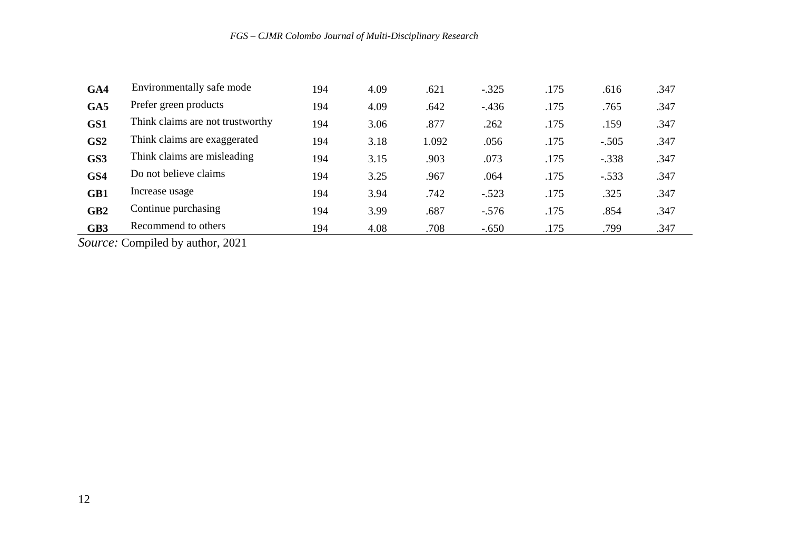| GA4             | Environmentally safe mode        | 194 | 4.09 | .621  | $-.325$ | .175 | .616    | .347 |
|-----------------|----------------------------------|-----|------|-------|---------|------|---------|------|
| GA5             | Prefer green products            | 194 | 4.09 | .642  | $-.436$ | .175 | .765    | .347 |
| GS1             | Think claims are not trustworthy | 194 | 3.06 | .877  | .262    | .175 | .159    | .347 |
| GS2             | Think claims are exaggerated     | 194 | 3.18 | 1.092 | .056    | .175 | $-.505$ | .347 |
| GS3             | Think claims are misleading      | 194 | 3.15 | .903  | .073    | .175 | $-.338$ | .347 |
| GS4             | Do not believe claims            | 194 | 3.25 | .967  | .064    | .175 | $-.533$ | .347 |
| GB1             | Increase usage                   | 194 | 3.94 | .742  | $-.523$ | .175 | .325    | .347 |
| GB <sub>2</sub> | Continue purchasing              | 194 | 3.99 | .687  | $-.576$ | .175 | .854    | .347 |
| GB <sub>3</sub> | Recommend to others              | 194 | 4.08 | .708  | $-.650$ | .175 | .799    | .347 |

*Source:* Compiled by author, 2021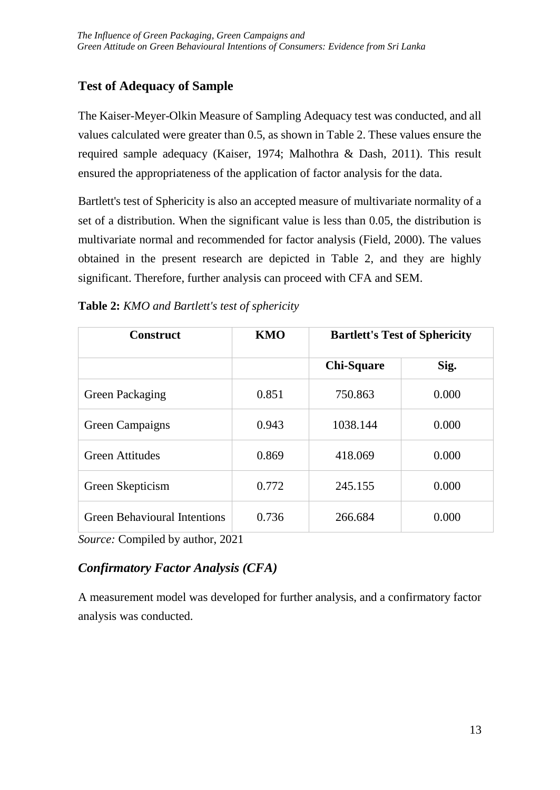# **Test of Adequacy of Sample**

The Kaiser-Meyer-Olkin Measure of Sampling Adequacy test was conducted, and all values calculated were greater than 0.5, as shown in Table 2. These values ensure the required sample adequacy (Kaiser, 1974; Malhothra & Dash, 2011). This result ensured the appropriateness of the application of factor analysis for the data.

Bartlett's test of Sphericity is also an accepted measure of multivariate normality of a set of a distribution. When the significant value is less than 0.05, the distribution is multivariate normal and recommended for factor analysis (Field, 2000). The values obtained in the present research are depicted in Table 2, and they are highly significant. Therefore, further analysis can proceed with CFA and SEM.

| <b>Construct</b>                    | KMO   |                   | <b>Bartlett's Test of Sphericity</b> |
|-------------------------------------|-------|-------------------|--------------------------------------|
|                                     |       | <b>Chi-Square</b> | Sig.                                 |
| Green Packaging                     | 0.851 | 750.863           | 0.000                                |
| Green Campaigns                     | 0.943 | 1038.144          | 0.000                                |
| <b>Green Attitudes</b>              | 0.869 | 418.069           | 0.000                                |
| Green Skepticism                    | 0.772 | 245.155           | 0.000                                |
| <b>Green Behavioural Intentions</b> | 0.736 | 266.684           | 0.000                                |

**Table 2:** *KMO and Bartlett's test of sphericity*

*Source:* Compiled by author, 2021

# *Confirmatory Factor Analysis (CFA)*

A measurement model was developed for further analysis, and a confirmatory factor analysis was conducted.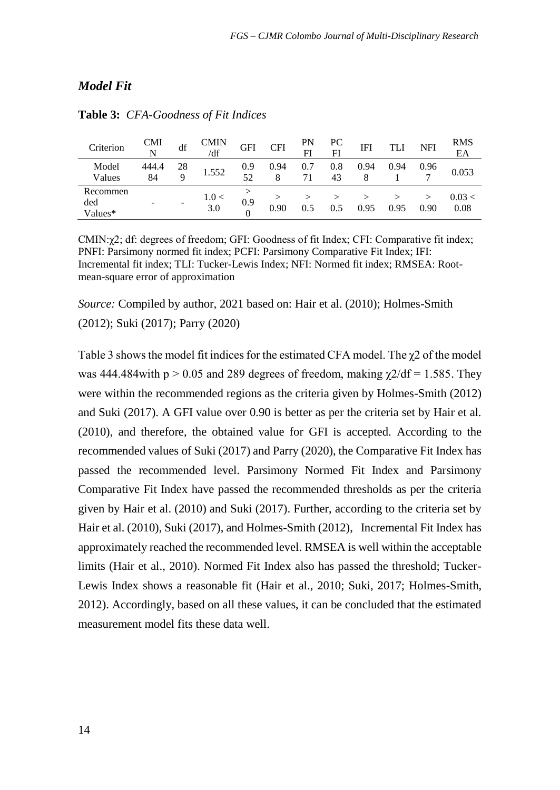### *Model Fit*

| Criterion                  | <b>CMI</b><br>N | df      | <b>CMIN</b><br>/df | <b>GFI</b> | <b>CFI</b> | PN<br>FI  | PС<br>FI  | IFI  |      | NFI  | <b>RMS</b><br>EA |
|----------------------------|-----------------|---------|--------------------|------------|------------|-----------|-----------|------|------|------|------------------|
| Model<br>Values            | 444.4<br>84     | 28<br>q | 1.552              | 0.9<br>52  | 0.94<br>8  | 0.7<br>71 | 0.8<br>43 | 0.94 | 0.94 | 0.96 | 0.053            |
| Recommen<br>ded<br>Values* |                 |         | 1.0 <<br>3.0       | 0.9        | 0.90       |           | 0.5       | 0.95 | 0.95 | 0.90 | 0.03 <<br>0.08   |

#### **Table 3:** *CFA-Goodness of Fit Indices*

CMIN: $\gamma$ 2; df: degrees of freedom; GFI: Goodness of fit Index; CFI: Comparative fit index; PNFI: Parsimony normed fit index; PCFI: Parsimony Comparative Fit Index; IFI: Incremental fit index; TLI: Tucker-Lewis Index; NFI: Normed fit index; RMSEA: Rootmean-square error of approximation

*Source:* Compiled by author, 2021 based on: Hair et al. (2010); Holmes-Smith (2012); Suki (2017); Parry (2020)

Table 3 shows the model fit indices for the estimated CFA model. The χ2 of the model was 444.484 with  $p > 0.05$  and 289 degrees of freedom, making  $\gamma/2d\mathbf{f} = 1.585$ . They were within the recommended regions as the criteria given by Holmes-Smith (2012) and Suki (2017). A GFI value over 0.90 is better as per the criteria set by Hair et al. (2010), and therefore, the obtained value for GFI is accepted. According to the recommended values of Suki (2017) and Parry (2020), the Comparative Fit Index has passed the recommended level. Parsimony Normed Fit Index and Parsimony Comparative Fit Index have passed the recommended thresholds as per the criteria given by Hair et al. (2010) and Suki (2017). Further, according to the criteria set by Hair et al. (2010), Suki (2017), and Holmes-Smith (2012), Incremental Fit Index has approximately reached the recommended level. RMSEA is well within the acceptable limits (Hair et al., 2010). Normed Fit Index also has passed the threshold; Tucker-Lewis Index shows a reasonable fit (Hair et al., 2010; Suki, 2017; Holmes-Smith, 2012). Accordingly, based on all these values, it can be concluded that the estimated measurement model fits these data well.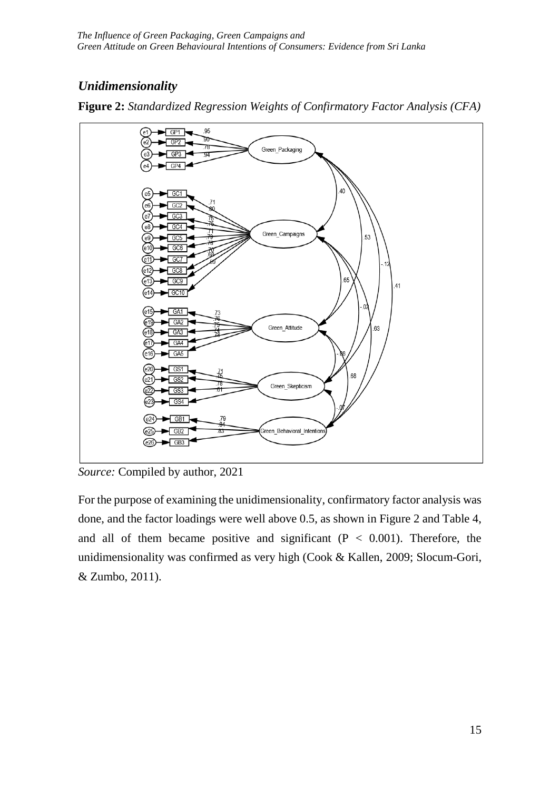# *Unidimensionality*



**Figure 2:** *Standardized Regression Weights of Confirmatory Factor Analysis (CFA)*

For the purpose of examining the unidimensionality, confirmatory factor analysis was done, and the factor loadings were well above 0.5, as shown in Figure 2 and Table 4, and all of them became positive and significant  $(P < 0.001)$ . Therefore, the unidimensionality was confirmed as very high (Cook & Kallen, 2009; Slocum-Gori, & Zumbo, 2011).

*Source:* Compiled by author, 2021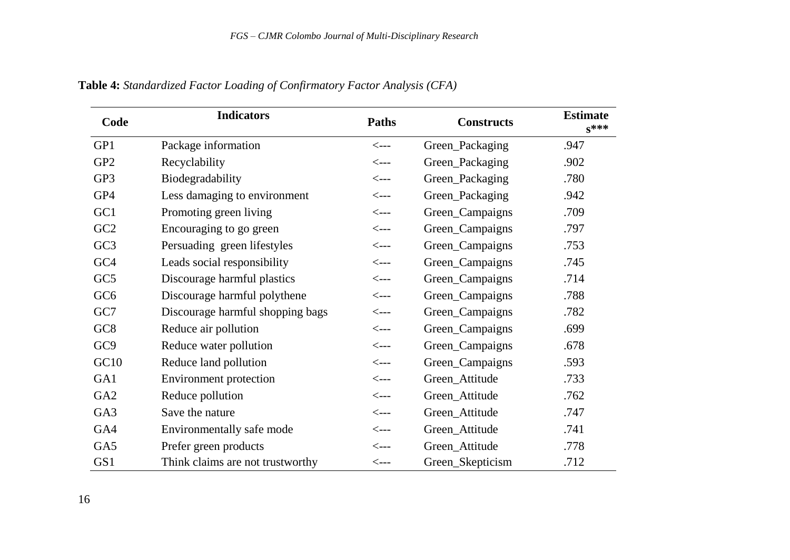| Code            | <b>Indicators</b>                | <b>Paths</b>     | <b>Constructs</b> | <b>Estimate</b><br>$S^{***}$ |
|-----------------|----------------------------------|------------------|-------------------|------------------------------|
| GP1             | Package information              | $\leftarrow$ --- | Green_Packaging   | .947                         |
| GP <sub>2</sub> | Recyclability                    | $\leftarrow$ --- | Green_Packaging   | .902                         |
| GP3             | Biodegradability                 | $\leftarrow$ --- | Green_Packaging   | .780                         |
| GP4             | Less damaging to environment     | <---             | Green_Packaging   | .942                         |
| GC1             | Promoting green living           | $\leftarrow$ --- | Green_Campaigns   | .709                         |
| GC <sub>2</sub> | Encouraging to go green          | $\leftarrow$ --- | Green_Campaigns   | .797                         |
| GC <sub>3</sub> | Persuading green lifestyles      | $\leftarrow$ --- | Green_Campaigns   | .753                         |
| GC <sub>4</sub> | Leads social responsibility      | <---             | Green_Campaigns   | .745                         |
| GC <sub>5</sub> | Discourage harmful plastics      | $\leftarrow$ --- | Green_Campaigns   | .714                         |
| GC <sub>6</sub> | Discourage harmful polythene     | $\leftarrow$ --- | Green_Campaigns   | .788                         |
| GC7             | Discourage harmful shopping bags | $\leftarrow$ --- | Green_Campaigns   | .782                         |
| GC <sub>8</sub> | Reduce air pollution             | $\leftarrow$ --- | Green_Campaigns   | .699                         |
| GC <sub>9</sub> | Reduce water pollution           | <---             | Green_Campaigns   | .678                         |
| GC10            | Reduce land pollution            | $\leftarrow$ --- | Green_Campaigns   | .593                         |
| GA1             | Environment protection           | $\leftarrow$ --- | Green_Attitude    | .733                         |
| GA <sub>2</sub> | Reduce pollution                 | $\leftarrow$ --- | Green_Attitude    | .762                         |
| GA3             | Save the nature                  | $\leftarrow$ --- | Green_Attitude    | .747                         |
| GA4             | Environmentally safe mode        | $\leftarrow$ --- | Green_Attitude    | .741                         |
| GA5             | Prefer green products            | $\leftarrow$ --- | Green_Attitude    | .778                         |
| GS1             | Think claims are not trustworthy | <---             | Green_Skepticism  | .712                         |

**Table 4:** *Standardized Factor Loading of Confirmatory Factor Analysis (CFA)*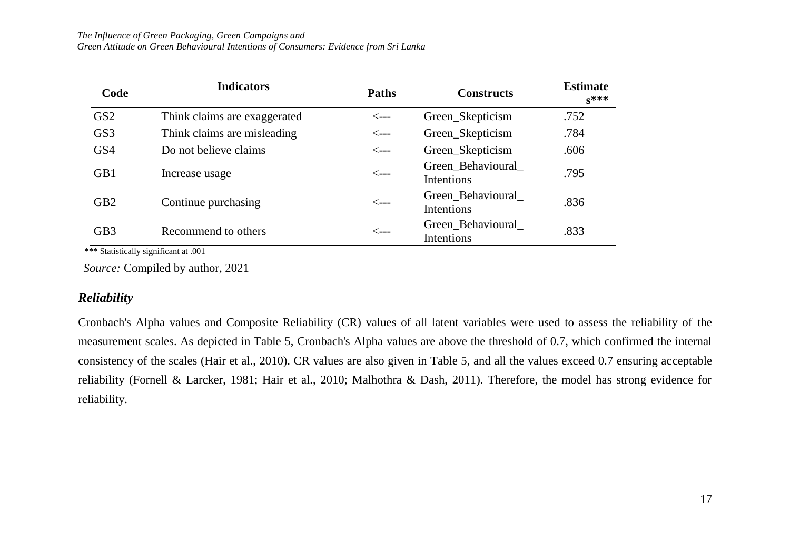#### *The Influence of Green Packaging, Green Campaigns and*

*Green Attitude on Green Behavioural Intentions of Consumers: Evidence from Sri Lanka*

| Code            | <b>Indicators</b>            | <b>Paths</b>     | <b>Constructs</b>                | <b>Estimate</b><br>$S^{***}$ |
|-----------------|------------------------------|------------------|----------------------------------|------------------------------|
| GS <sub>2</sub> | Think claims are exaggerated | $\leftarrow$ --- | Green_Skepticism                 | .752                         |
| GS <sub>3</sub> | Think claims are misleading  | $\leftarrow$ --- | Green_Skepticism                 | .784                         |
| GS4             | Do not believe claims        | <---             | Green_Skepticism                 | .606                         |
| GB1             | Increase usage               | $\leftarrow$ --- | Green_Behavioural_<br>Intentions | .795                         |
| GB <sub>2</sub> | Continue purchasing          | $\leftarrow$ --- | Green_Behavioural_<br>Intentions | .836                         |
| GB <sub>3</sub> | Recommend to others          | <---             | Green_Behavioural_<br>Intentions | .833                         |

 **\*\*\*** Statistically significant at .001

*Source:* Compiled by author, 2021

#### *Reliability*

Cronbach's Alpha values and Composite Reliability (CR) values of all latent variables were used to assess the reliability of the measurement scales. As depicted in Table 5, Cronbach's Alpha values are above the threshold of 0.7, which confirmed the internal consistency of the scales (Hair et al., 2010). CR values are also given in Table 5, and all the values exceed 0.7 ensuring acceptable reliability (Fornell & Larcker, 1981; Hair et al., 2010; Malhothra & Dash, 2011). Therefore, the model has strong evidence for reliability.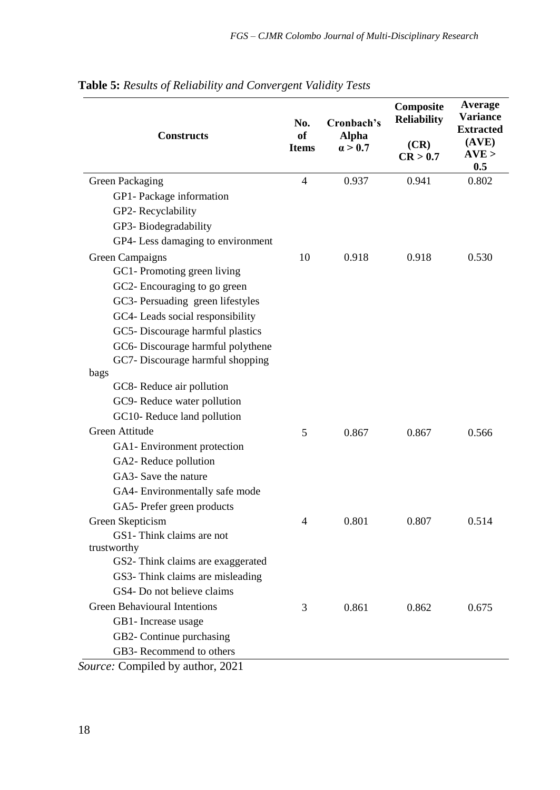| <b>Constructs</b>                                           | No.<br><b>of</b><br><b>Items</b> | Cronbach's<br><b>Alpha</b><br>$\alpha > 0.7$ | Composite<br><b>Reliability</b><br>(CR)<br>CR > 0.7 | Average<br>Variance<br><b>Extracted</b><br>(AVE)<br>AVE ><br>0.5 |
|-------------------------------------------------------------|----------------------------------|----------------------------------------------|-----------------------------------------------------|------------------------------------------------------------------|
| Green Packaging                                             | $\overline{4}$                   | 0.937                                        | 0.941                                               | 0.802                                                            |
| GP1- Package information                                    |                                  |                                              |                                                     |                                                                  |
| GP2-Recyclability                                           |                                  |                                              |                                                     |                                                                  |
| GP3-Biodegradability                                        |                                  |                                              |                                                     |                                                                  |
| GP4- Less damaging to environment                           |                                  |                                              |                                                     |                                                                  |
| Green Campaigns                                             | 10                               | 0.918                                        | 0.918                                               | 0.530                                                            |
| GC1-Promoting green living                                  |                                  |                                              |                                                     |                                                                  |
| GC2- Encouraging to go green                                |                                  |                                              |                                                     |                                                                  |
| GC3- Persuading green lifestyles                            |                                  |                                              |                                                     |                                                                  |
| GC4- Leads social responsibility                            |                                  |                                              |                                                     |                                                                  |
| GC5-Discourage harmful plastics                             |                                  |                                              |                                                     |                                                                  |
| GC6-Discourage harmful polythene                            |                                  |                                              |                                                     |                                                                  |
| GC7- Discourage harmful shopping                            |                                  |                                              |                                                     |                                                                  |
| bags                                                        |                                  |                                              |                                                     |                                                                  |
| GC8- Reduce air pollution                                   |                                  |                                              |                                                     |                                                                  |
| GC9- Reduce water pollution                                 |                                  |                                              |                                                     |                                                                  |
| GC10-Reduce land pollution                                  |                                  |                                              |                                                     |                                                                  |
| Green Attitude                                              | 5                                | 0.867                                        | 0.867                                               | 0.566                                                            |
| GA1-Environment protection                                  |                                  |                                              |                                                     |                                                                  |
| GA2-Reduce pollution                                        |                                  |                                              |                                                     |                                                                  |
| GA3- Save the nature                                        |                                  |                                              |                                                     |                                                                  |
| GA4- Environmentally safe mode                              |                                  |                                              |                                                     |                                                                  |
| GA5- Prefer green products                                  |                                  |                                              |                                                     |                                                                  |
| Green Skepticism                                            | 4                                | 0.801                                        | 0.807                                               | 0.514                                                            |
| GS1-Think claims are not                                    |                                  |                                              |                                                     |                                                                  |
| trustworthy                                                 |                                  |                                              |                                                     |                                                                  |
| GS2- Think claims are exaggerated                           |                                  |                                              |                                                     |                                                                  |
| GS3- Think claims are misleading                            |                                  |                                              |                                                     |                                                                  |
| GS4- Do not believe claims                                  |                                  |                                              |                                                     |                                                                  |
| <b>Green Behavioural Intentions</b>                         | 3                                | 0.861                                        | 0.862                                               | 0.675                                                            |
| GB1- Increase usage                                         |                                  |                                              |                                                     |                                                                  |
| GB2- Continue purchasing                                    |                                  |                                              |                                                     |                                                                  |
| GB3-Recommend to others<br>Source: Compiled by author, 2021 |                                  |                                              |                                                     |                                                                  |

**Table 5:** *Results of Reliability and Convergent Validity Tests*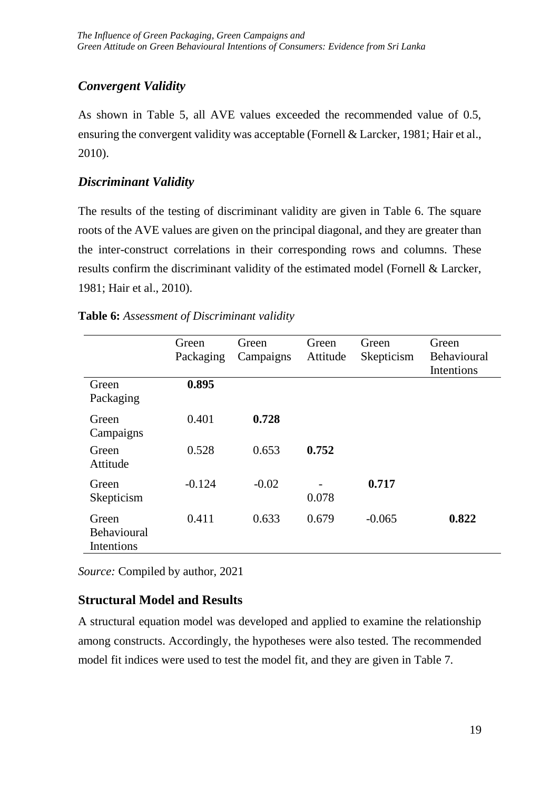## *Convergent Validity*

As shown in Table 5, all AVE values exceeded the recommended value of 0.5, ensuring the convergent validity was acceptable (Fornell & Larcker, 1981; Hair et al., 2010).

## *Discriminant Validity*

The results of the testing of discriminant validity are given in Table 6. The square roots of the AVE values are given on the principal diagonal, and they are greater than the inter-construct correlations in their corresponding rows and columns. These results confirm the discriminant validity of the estimated model (Fornell & Larcker, 1981; Hair et al., 2010).

### **Table 6:** *Assessment of Discriminant validity*

|                                                  | Green<br>Packaging | Green<br>Campaigns | Green<br>Attitude | Green<br>Skepticism | Green<br>Behavioural<br>Intentions |
|--------------------------------------------------|--------------------|--------------------|-------------------|---------------------|------------------------------------|
| Green<br>Packaging                               | 0.895              |                    |                   |                     |                                    |
| Green<br>Campaigns                               | 0.401              | 0.728              |                   |                     |                                    |
| Green<br>Attitude                                | 0.528              | 0.653              | 0.752             |                     |                                    |
| Green<br>Skepticism                              | $-0.124$           | $-0.02$            | 0.078             | 0.717               |                                    |
| Green<br><b>Behavioural</b><br><b>Intentions</b> | 0.411              | 0.633              | 0.679             | $-0.065$            | 0.822                              |

*Source:* Compiled by author, 2021

# **Structural Model and Results**

A structural equation model was developed and applied to examine the relationship among constructs. Accordingly, the hypotheses were also tested. The recommended model fit indices were used to test the model fit, and they are given in Table 7.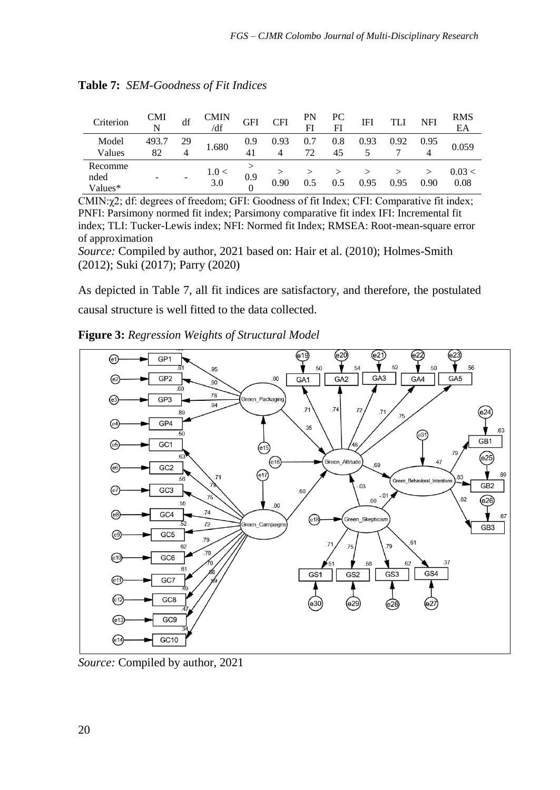| Criterion                  | CMI<br>N    | df | <b>CMIN</b><br>/df | GFI       | <b>CFI</b> | PN<br>FI  | PС<br>FI  | IFI  |      | <b>NFI</b> | <b>RMS</b><br>EA |
|----------------------------|-------------|----|--------------------|-----------|------------|-----------|-----------|------|------|------------|------------------|
| Model<br>Values            | 493.7<br>82 | 29 | 1.680              | 0.9<br>41 | 0.93       | 0.7<br>72 | 0.8<br>45 | 0.93 | 0.92 | 0.95<br>4  | 0.059            |
| Recomme<br>nded<br>Values* |             |    | 1.0<<br>3.0        | 0.9       | 0.90       |           | 0.5       | 0.95 | 0.95 | 0.90       | 0.03 <<br>0.08   |

**Table 7:** *SEM-Goodness of Fit Indices*

CMIN:χ2; df: degrees of freedom; GFI: Goodness of fit Index; CFI: Comparative fit index; PNFI: Parsimony normed fit index; Parsimony comparative fit index IFI: Incremental fit index; TLI: Tucker-Lewis index; NFI: Normed fit Index; RMSEA: Root-mean-square error of approximation

*Source:* Compiled by author, 2021 based on: Hair et al. (2010); Holmes-Smith (2012); Suki (2017); Parry (2020)

As depicted in Table 7, all fit indices are satisfactory, and therefore, the postulated causal structure is well fitted to the data collected.





*Source:* Compiled by author, 2021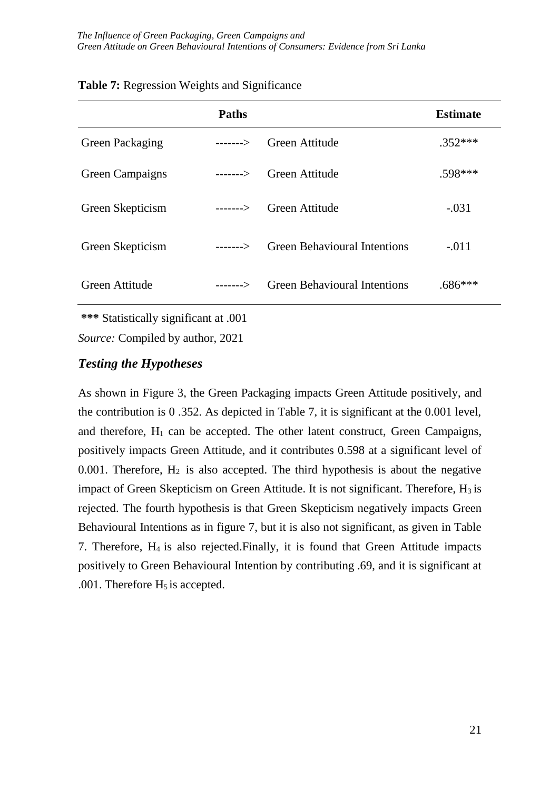|                  | <b>Paths</b> |                                     | <b>Estimate</b> |
|------------------|--------------|-------------------------------------|-----------------|
| Green Packaging  | $-----$      | Green Attitude                      | $.352***$       |
| Green Campaigns  | $-----$      | Green Attitude                      | .598***         |
| Green Skepticism | $---2$       | Green Attitude                      | $-.031$         |
| Green Skepticism | $-----$      | <b>Green Behavioural Intentions</b> | $-.011$         |
| Green Attitude   | $-----$      | <b>Green Behavioural Intentions</b> | $.686***$       |

| Table 7: Regression Weights and Significance |  |  |
|----------------------------------------------|--|--|
|----------------------------------------------|--|--|

**\*\*\*** Statistically significant at .001

*Source:* Compiled by author, 2021

## *Testing the Hypotheses*

As shown in Figure 3, the Green Packaging impacts Green Attitude positively, and the contribution is 0 .352. As depicted in Table 7, it is significant at the 0.001 level, and therefore,  $H_1$  can be accepted. The other latent construct, Green Campaigns, positively impacts Green Attitude, and it contributes 0.598 at a significant level of 0.001. Therefore,  $H_2$  is also accepted. The third hypothesis is about the negative impact of Green Skepticism on Green Attitude. It is not significant. Therefore,  $H_3$  is rejected. The fourth hypothesis is that Green Skepticism negatively impacts Green Behavioural Intentions as in figure 7, but it is also not significant, as given in Table 7. Therefore, H4 is also rejected.Finally, it is found that Green Attitude impacts positively to Green Behavioural Intention by contributing .69, and it is significant at .001. Therefore  $H_5$  is accepted.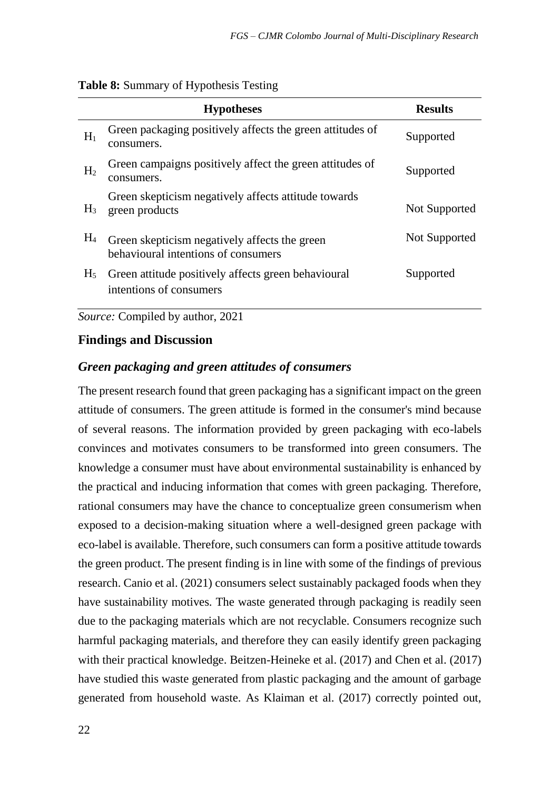| Table 8: Summary of Hypothesis Testing |  |  |
|----------------------------------------|--|--|
|                                        |  |  |

|                | <b>Hypotheses</b>                                                                    | <b>Results</b> |
|----------------|--------------------------------------------------------------------------------------|----------------|
| $H_1$          | Green packaging positively affects the green attitudes of<br>consumers.              | Supported      |
| H <sub>2</sub> | Green campaigns positively affect the green attitudes of<br>consumers.               | Supported      |
| $H_3$          | Green skepticism negatively affects attitude towards<br>green products               | Not Supported  |
| $H_4$          | Green skepticism negatively affects the green<br>behavioural intentions of consumers | Not Supported  |
| $H_5$          | Green attitude positively affects green behavioural<br>intentions of consumers       | Supported      |

*Source:* Compiled by author, 2021

### **Findings and Discussion**

### *Green packaging and green attitudes of consumers*

The present research found that green packaging has a significant impact on the green attitude of consumers. The green attitude is formed in the consumer's mind because of several reasons. The information provided by green packaging with eco-labels convinces and motivates consumers to be transformed into green consumers. The knowledge a consumer must have about environmental sustainability is enhanced by the practical and inducing information that comes with green packaging. Therefore, rational consumers may have the chance to conceptualize green consumerism when exposed to a decision-making situation where a well-designed green package with eco-label is available. Therefore, such consumers can form a positive attitude towards the green product. The present finding is in line with some of the findings of previous research. Canio et al. (2021) consumers select sustainably packaged foods when they have sustainability motives. The waste generated through packaging is readily seen due to the packaging materials which are not recyclable. Consumers recognize such harmful packaging materials, and therefore they can easily identify green packaging with their practical knowledge. Beitzen-Heineke et al. (2017) and Chen et al. (2017) have studied this waste generated from plastic packaging and the amount of garbage generated from household waste. As Klaiman et al. (2017) correctly pointed out,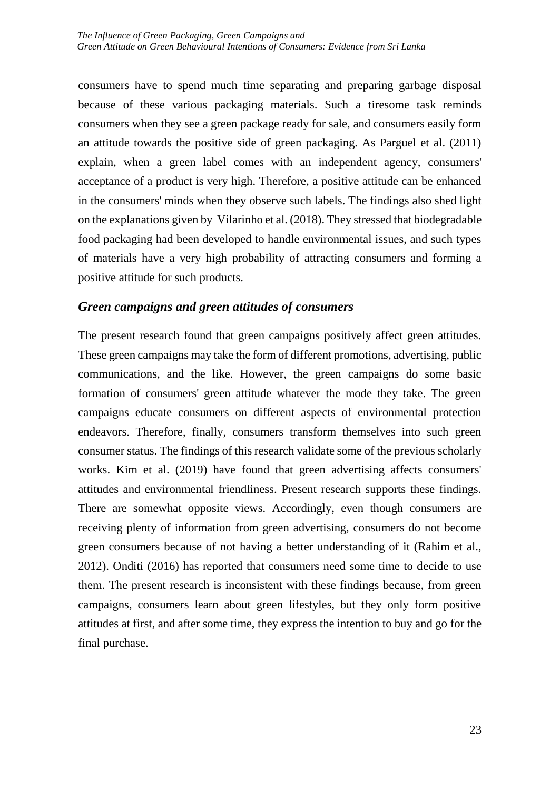consumers have to spend much time separating and preparing garbage disposal because of these various packaging materials. Such a tiresome task reminds consumers when they see a green package ready for sale, and consumers easily form an attitude towards the positive side of green packaging. As Parguel et al. (2011) explain, when a green label comes with an independent agency, consumers' acceptance of a product is very high. Therefore, a positive attitude can be enhanced in the consumers' minds when they observe such labels. The findings also shed light on the explanations given by Vilarinho et al. (2018). They stressed that biodegradable food packaging had been developed to handle environmental issues, and such types of materials have a very high probability of attracting consumers and forming a positive attitude for such products.

### *Green campaigns and green attitudes of consumers*

The present research found that green campaigns positively affect green attitudes. These green campaigns may take the form of different promotions, advertising, public communications, and the like. However, the green campaigns do some basic formation of consumers' green attitude whatever the mode they take. The green campaigns educate consumers on different aspects of environmental protection endeavors. Therefore, finally, consumers transform themselves into such green consumer status. The findings of this research validate some of the previous scholarly works. Kim et al. (2019) have found that green advertising affects consumers' attitudes and environmental friendliness. Present research supports these findings. There are somewhat opposite views. Accordingly, even though consumers are receiving plenty of information from green advertising, consumers do not become green consumers because of not having a better understanding of it (Rahim et al., 2012). Onditi (2016) has reported that consumers need some time to decide to use them. The present research is inconsistent with these findings because, from green campaigns, consumers learn about green lifestyles, but they only form positive attitudes at first, and after some time, they express the intention to buy and go for the final purchase.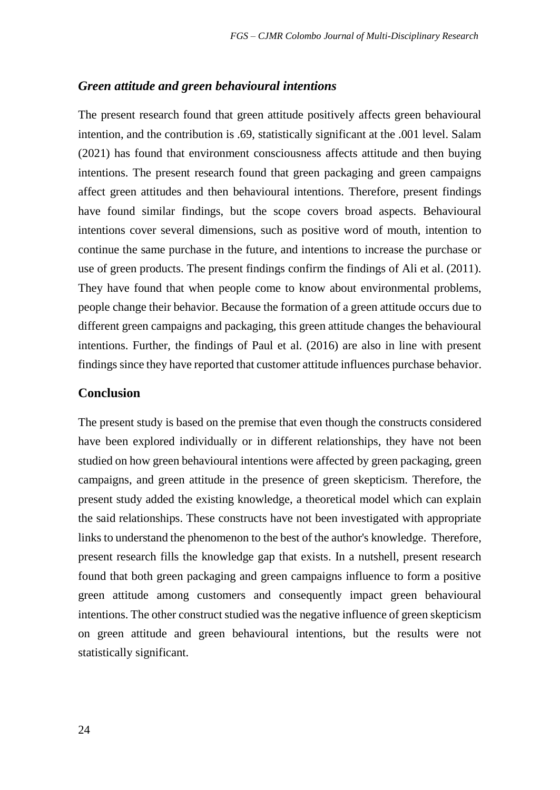### *Green attitude and green behavioural intentions*

The present research found that green attitude positively affects green behavioural intention, and the contribution is .69, statistically significant at the .001 level. Salam (2021) has found that environment consciousness affects attitude and then buying intentions. The present research found that green packaging and green campaigns affect green attitudes and then behavioural intentions. Therefore, present findings have found similar findings, but the scope covers broad aspects. Behavioural intentions cover several dimensions, such as positive word of mouth, intention to continue the same purchase in the future, and intentions to increase the purchase or use of green products. The present findings confirm the findings of Ali et al. (2011). They have found that when people come to know about environmental problems, people change their behavior. Because the formation of a green attitude occurs due to different green campaigns and packaging, this green attitude changes the behavioural intentions. Further, the findings of Paul et al. (2016) are also in line with present findings since they have reported that customer attitude influences purchase behavior.

### **Conclusion**

The present study is based on the premise that even though the constructs considered have been explored individually or in different relationships, they have not been studied on how green behavioural intentions were affected by green packaging, green campaigns, and green attitude in the presence of green skepticism. Therefore, the present study added the existing knowledge, a theoretical model which can explain the said relationships. These constructs have not been investigated with appropriate links to understand the phenomenon to the best of the author's knowledge. Therefore, present research fills the knowledge gap that exists. In a nutshell, present research found that both green packaging and green campaigns influence to form a positive green attitude among customers and consequently impact green behavioural intentions. The other construct studied was the negative influence of green skepticism on green attitude and green behavioural intentions, but the results were not statistically significant.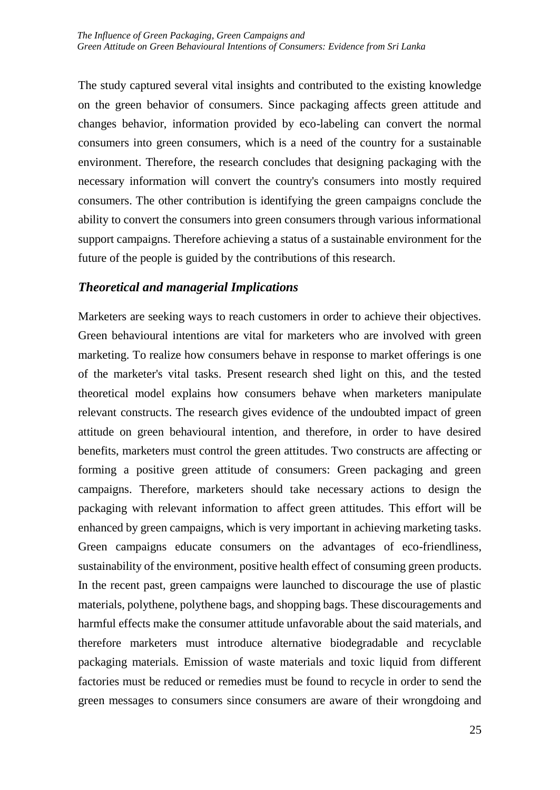The study captured several vital insights and contributed to the existing knowledge on the green behavior of consumers. Since packaging affects green attitude and changes behavior, information provided by eco-labeling can convert the normal consumers into green consumers, which is a need of the country for a sustainable environment. Therefore, the research concludes that designing packaging with the necessary information will convert the country's consumers into mostly required consumers. The other contribution is identifying the green campaigns conclude the ability to convert the consumers into green consumers through various informational support campaigns. Therefore achieving a status of a sustainable environment for the future of the people is guided by the contributions of this research.

### *Theoretical and managerial Implications*

Marketers are seeking ways to reach customers in order to achieve their objectives. Green behavioural intentions are vital for marketers who are involved with green marketing. To realize how consumers behave in response to market offerings is one of the marketer's vital tasks. Present research shed light on this, and the tested theoretical model explains how consumers behave when marketers manipulate relevant constructs. The research gives evidence of the undoubted impact of green attitude on green behavioural intention, and therefore, in order to have desired benefits, marketers must control the green attitudes. Two constructs are affecting or forming a positive green attitude of consumers: Green packaging and green campaigns. Therefore, marketers should take necessary actions to design the packaging with relevant information to affect green attitudes. This effort will be enhanced by green campaigns, which is very important in achieving marketing tasks. Green campaigns educate consumers on the advantages of eco-friendliness, sustainability of the environment, positive health effect of consuming green products. In the recent past, green campaigns were launched to discourage the use of plastic materials, polythene, polythene bags, and shopping bags. These discouragements and harmful effects make the consumer attitude unfavorable about the said materials, and therefore marketers must introduce alternative biodegradable and recyclable packaging materials. Emission of waste materials and toxic liquid from different factories must be reduced or remedies must be found to recycle in order to send the green messages to consumers since consumers are aware of their wrongdoing and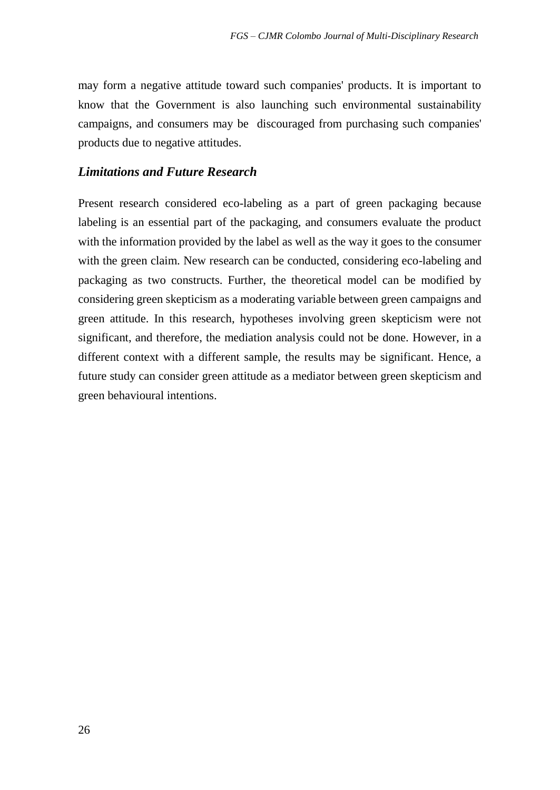may form a negative attitude toward such companies' products. It is important to know that the Government is also launching such environmental sustainability campaigns, and consumers may be discouraged from purchasing such companies' products due to negative attitudes.

### *Limitations and Future Research*

Present research considered eco-labeling as a part of green packaging because labeling is an essential part of the packaging, and consumers evaluate the product with the information provided by the label as well as the way it goes to the consumer with the green claim. New research can be conducted, considering eco-labeling and packaging as two constructs. Further, the theoretical model can be modified by considering green skepticism as a moderating variable between green campaigns and green attitude. In this research, hypotheses involving green skepticism were not significant, and therefore, the mediation analysis could not be done. However, in a different context with a different sample, the results may be significant. Hence, a future study can consider green attitude as a mediator between green skepticism and green behavioural intentions.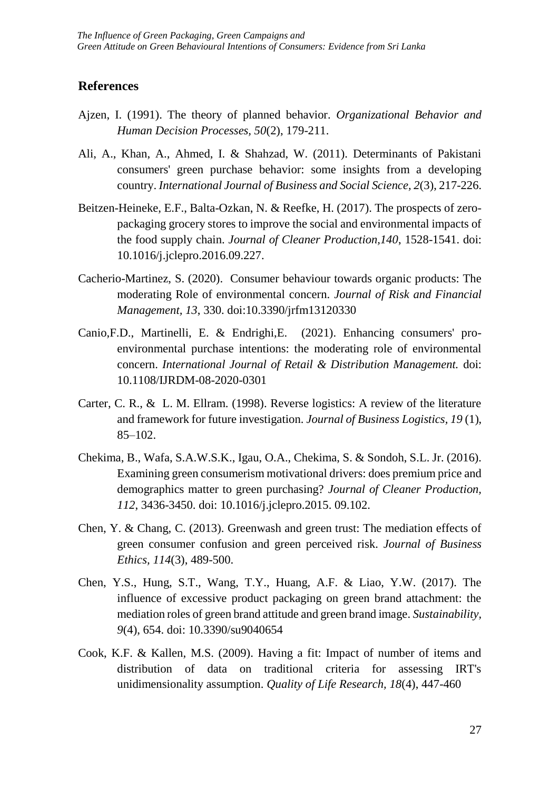### **References**

- Ajzen, I. (1991). The theory of planned behavior. *Organizational Behavior and Human Decision Processes, 50*(2), 179-211.
- Ali, A., Khan, A., Ahmed, I. & Shahzad, W. (2011). Determinants of Pakistani consumers' green purchase behavior: some insights from a developing country. *International Journal of Business and Social Science, 2*(3), 217-226.
- Beitzen-Heineke, E.F., Balta-Ozkan, N. & Reefke, H. (2017). The prospects of zeropackaging grocery stores to improve the social and environmental impacts of the food supply chain. *Journal of Cleaner Production,140*, 1528-1541. doi: 10.1016/j.jclepro.2016.09.227.
- Cacherio-Martinez, S. (2020). Consumer behaviour towards organic products: The moderating Role of environmental concern. *Journal of Risk and Financial Management, 13*, 330. doi:10.3390/jrfm13120330
- Canio,F.D., Martinelli, E. & Endrighi,E. (2021). Enhancing consumers' proenvironmental purchase intentions: the moderating role of environmental concern. *International Journal of Retail & Distribution Management.* doi: 10.1108/IJRDM-08-2020-0301
- Carter, C. R., & L. M. Ellram. (1998). Reverse logistics: A review of the literature and framework for future investigation. *Journal of Business Logistics, 19* (1), 85–102.
- Chekima, B., Wafa, S.A.W.S.K., Igau, O.A., Chekima, S. & Sondoh, S.L. Jr. (2016). Examining green consumerism motivational drivers: does premium price and demographics matter to green purchasing? *Journal of Cleaner Production, 112*, 3436-3450. doi: 10.1016/j.jclepro.2015. 09.102.
- Chen, Y. & Chang, C. (2013). Greenwash and green trust: The mediation effects of green consumer confusion and green perceived risk. *Journal of Business Ethics, 114*(3), 489-500.
- Chen, Y.S., Hung, S.T., Wang, T.Y., Huang, A.F. & Liao, Y.W. (2017). The influence of excessive product packaging on green brand attachment: the mediation roles of green brand attitude and green brand image. *Sustainability, 9*(4), 654. doi: 10.3390/su9040654
- Cook, K.F. & Kallen, M.S. (2009). Having a fit: Impact of number of items and distribution of data on traditional criteria for assessing IRT's unidimensionality assumption. *Quality of Life Research, 18*(4), 447-460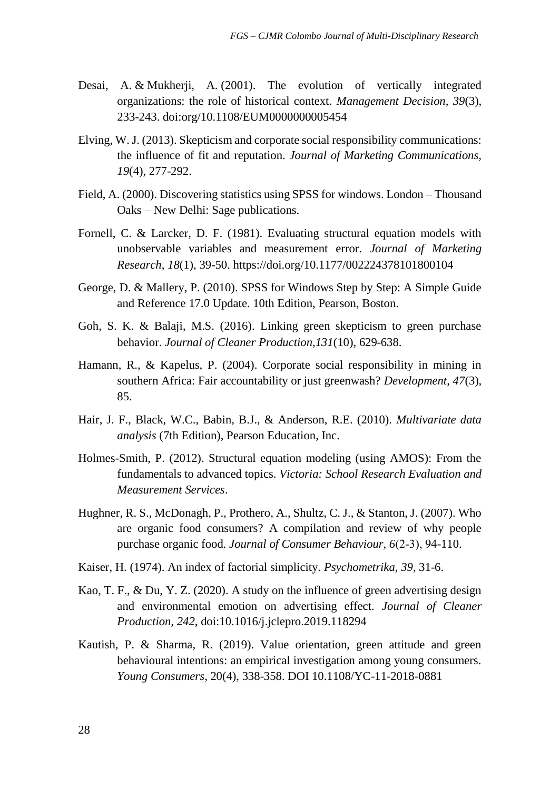- [Desai, A.](https://www.emerald.com/insight/search?q=Ashay%20Desai) & [Mukherji, A.](https://www.emerald.com/insight/search?q=Ananda%20Mukherji) (2001). The evolution of vertically integrated organizations: the role of historical context. *[Management Decision](https://www.emerald.com/insight/publication/issn/0025-1747)*, *39*(3), 233-243. [doi:org/10.1108/EUM0000000005454](https://doi.org/10.1108/EUM0000000005454)
- Elving, W. J. (2013). Skepticism and corporate social responsibility communications: the influence of fit and reputation. *Journal of Marketing Communications, 19*(4), 277-292.
- Field, A. (2000). Discovering statistics using SPSS for windows. London Thousand Oaks – New Delhi: Sage publications.
- Fornell, C. & Larcker, D. F. (1981). Evaluating structural equation models with unobservable variables and measurement error. *Journal of Marketing Research*, *18*(1), 39-50. https://doi.org/10.1177/002224378101800104
- George, D. & Mallery, P. (2010). SPSS for Windows Step by Step: A Simple Guide and Reference 17.0 Update. 10th Edition, Pearson, Boston.
- Goh, S. K. & Balaji, M.S. (2016). Linking green skepticism to green purchase behavior. *Journal of Cleaner Production,131*(10), 629-638.
- Hamann, R., & Kapelus, P. (2004). Corporate social responsibility in mining in southern Africa: Fair accountability or just greenwash? *Development, 47*(3), 85.
- Hair, J. F., Black, W.C., Babin, B.J., & Anderson, R.E. (2010). *Multivariate data analysis* (7th Edition), Pearson Education, Inc.
- Holmes-Smith, P. (2012). Structural equation modeling (using AMOS): From the fundamentals to advanced topics. *Victoria: School Research Evaluation and Measurement Services*.
- Hughner, R. S., McDonagh, P., Prothero, A., Shultz, C. J., & Stanton, J. (2007). Who are organic food consumers? A compilation and review of why people purchase organic food. *Journal of Consumer Behaviour, 6*(2‐3), 94-110.
- Kaiser, H. (1974). An index of factorial simplicity. *Psychometrika, 39*, 31-6.
- Kao, T. F., & Du, Y. Z. (2020). A study on the influence of green advertising design and environmental emotion on advertising effect. *Journal of Cleaner Production, 242*, doi:10.1016/j.jclepro.2019.118294
- Kautish, P. & Sharma, R. (2019). Value orientation, green attitude and green behavioural intentions: an empirical investigation among young consumers. *Young Consumers*, 20(4), 338-358. DOI 10.1108/YC-11-2018-0881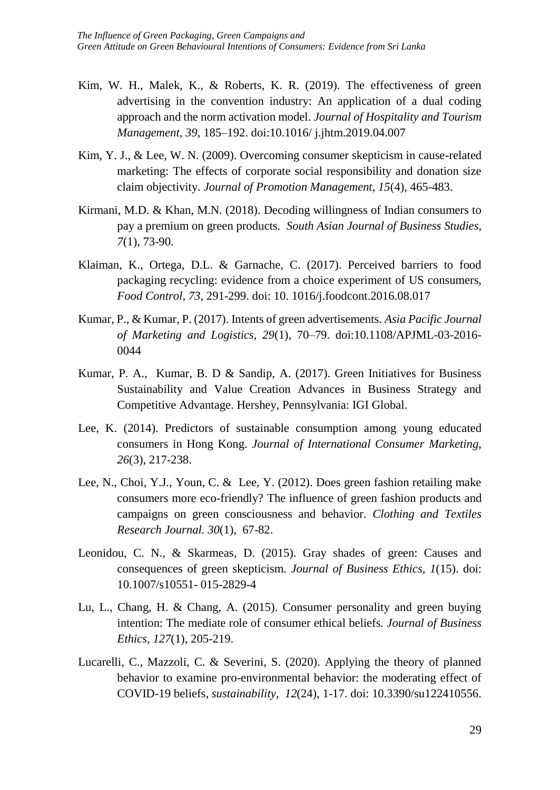- Kim, W. H., Malek, K., & Roberts, K. R. (2019). The effectiveness of green advertising in the convention industry: An application of a dual coding approach and the norm activation model. *Journal of Hospitality and Tourism Management, 39*, 185–192. doi:10.1016/ j.jhtm.2019.04.007
- Kim, Y. J., & Lee, W. N. (2009). Overcoming consumer skepticism in cause-related marketing: The effects of corporate social responsibility and donation size claim objectivity. *Journal of Promotion Management, 15*(4), 465-483.
- Kirmani, M.D. & Khan, M.N. (2018). Decoding willingness of Indian consumers to pay a premium on green products. *South Asian Journal of Business Studies, 7*(1), 73-90.
- Klaiman, K., Ortega, D.L. & Garnache, C. (2017). Perceived barriers to food packaging recycling: evidence from a choice experiment of US consumers, *Food Control, 73*, 291-299. doi: 10. 1016/j.foodcont.2016.08.017
- Kumar, P., & Kumar, P. (2017). Intents of green advertisements. *Asia Pacific Journal of Marketing and Logistics, 29*(1), 70–79. doi:10.1108/APJML-03-2016- 0044
- Kumar, P. A., Kumar, B. D & Sandip, A. (2017). Green Initiatives for Business Sustainability and Value Creation Advances in Business Strategy and Competitive Advantage. Hershey, Pennsylvania: IGI Global.
- Lee, K. (2014). Predictors of sustainable consumption among young educated consumers in Hong Kong. *Journal of International Consumer Marketing, 26*(3), 217-238.
- Lee, N., Choi, Y.J., Youn, C. & Lee, Y. (2012). Does green fashion retailing make consumers more eco-friendly? The influence of green fashion products and campaigns on green consciousness and behavior. *Clothing and Textiles Research Journal. 30*(1), 67-82.
- Leonidou, C. N., & Skarmeas, D. (2015). Gray shades of green: Causes and consequences of green skepticism. *Journal of Business Ethics, 1*(15). doi: 10.1007/s10551- 015-2829-4
- Lu, L., Chang, H. & Chang, A. (2015). Consumer personality and green buying intention: The mediate role of consumer ethical beliefs. *Journal of Business Ethics, 127*(1), 205-219.
- Lucarelli, C., Mazzoli, C. & Severini, S. (2020). Applying the theory of planned behavior to examine pro-environmental behavior: the moderating effect of COVID-19 beliefs, *sustainability, 12*(24), 1-17. doi: 10.3390/su122410556.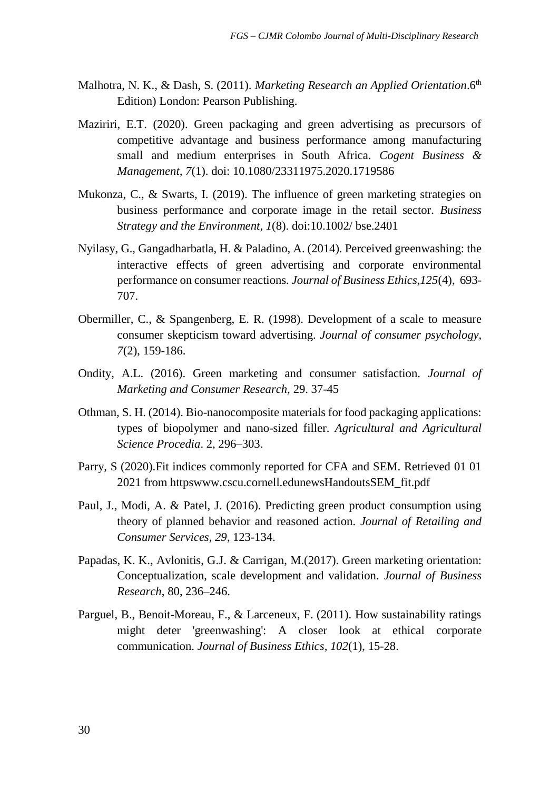- Malhotra, N. K., & Dash, S. (2011). *Marketing Research an Applied Orientation*.6<sup>th</sup> Edition) London: Pearson Publishing.
- Maziriri, E.T. (2020). Green packaging and green advertising as precursors of competitive advantage and business performance among manufacturing small and medium enterprises in South Africa. *Cogent Business & Management, 7*(1). doi: 10.1080/23311975.2020.1719586
- Mukonza, C., & Swarts, I. (2019). The influence of green marketing strategies on business performance and corporate image in the retail sector. *Business Strategy and the Environment, 1*(8). doi:10.1002/ bse.2401
- Nyilasy, G., Gangadharbatla, H. & Paladino, A. (2014). Perceived greenwashing: the interactive effects of green advertising and corporate environmental performance on consumer reactions. *Journal of Business Ethics,125*(4), 693- 707.
- Obermiller, C., & Spangenberg, E. R. (1998). Development of a scale to measure consumer skepticism toward advertising. *Journal of consumer psychology, 7*(2), 159-186.
- Ondity, A.L. (2016). Green marketing and consumer satisfaction. *Journal of Marketing and Consumer Research,* 29. 37-45
- Othman, S. H. (2014). Bio-nanocomposite materials for food packaging applications: types of biopolymer and nano-sized filler. *Agricultural and Agricultural Science Procedia*. 2, 296–303.
- Parry, S (2020).Fit indices commonly reported for CFA and SEM. Retrieved 01 01 2021 from httpswww.cscu.cornell.edunewsHandoutsSEM\_fit.pdf
- Paul, J., Modi, A. & Patel, J. (2016). Predicting green product consumption using theory of planned behavior and reasoned action. *Journal of Retailing and Consumer Services, 29*, 123-134.
- Papadas, K. K., Avlonitis, G.J. & Carrigan, M.(2017). Green marketing orientation: Conceptualization, scale development and validation. *Journal of Business Research*, 80, 236–246.
- Parguel, B., Benoit-Moreau, F., & Larceneux, F. (2011). How sustainability ratings might deter 'greenwashing': A closer look at ethical corporate communication. *Journal of Business Ethics, 102*(1), 15-28.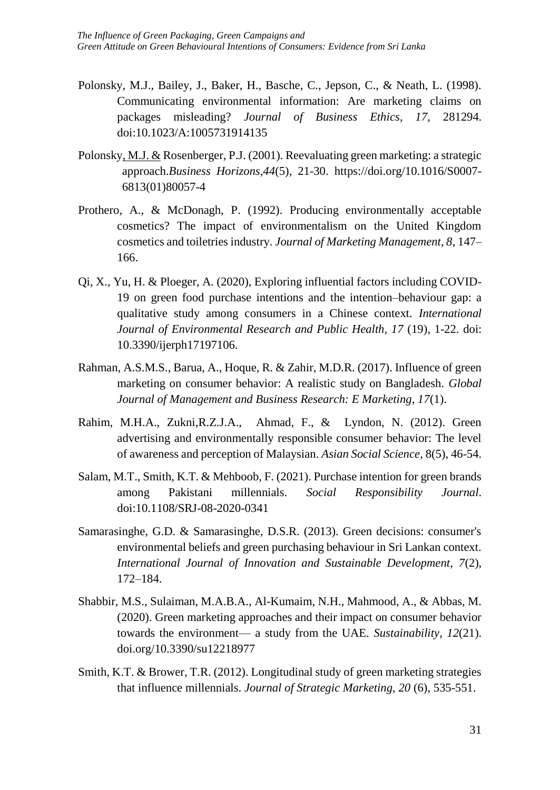- Polonsky, M.J., Bailey, J., Baker, H., Basche, C., Jepson, C., & Neath, L. (1998). Communicating environmental information: Are marketing claims on packages misleading? *Journal of Business Ethics, 17*, 281294. doi:10.1023/A:1005731914135
- [Polonsky, M.J. &](https://www.sciencedirect.com/science/article/abs/pii/S0007681301800574?via%3Dihub#!) Rosenberger, P.J. (2001). Reevaluating green marketing: a strategic approach.*Business Horizons,44*(5), 21-30. [https://doi.org/10.1016/S0007-](https://doi.org/10.1016/S0007-6813(01)80057-4) [6813\(01\)80057-4](https://doi.org/10.1016/S0007-6813(01)80057-4)
- Prothero, A., & McDonagh, P. (1992). Producing environmentally acceptable cosmetics? The impact of environmentalism on the United Kingdom cosmetics and toiletries industry. *Journal of Marketing Management, 8*, 147– 166.
- Qi, X., Yu, H. & Ploeger, A. (2020), Exploring influential factors including COVID-19 on green food purchase intentions and the intention–behaviour gap: a qualitative study among consumers in a Chinese context. *International Journal of Environmental Research and Public Health, 17* (19), 1-22. doi: 10.3390/ijerph17197106.
- Rahman, A.S.M.S., Barua, A., Hoque, R. & Zahir, M.D.R. (2017). Influence of green marketing on consumer behavior: A realistic study on Bangladesh. *Global Journal of Management and Business Research: E Marketing, 17*(1).
- Rahim, M.H.A., Zukni,R.Z.J.A., Ahmad, F., & Lyndon, N. (2012). Green advertising and environmentally responsible consumer behavior: The level of awareness and perception of Malaysian. *Asian Social Science,* 8(5), 46-54.
- Salam, M.T., Smith, K.T. & Mehboob, F. (2021). Purchase intention for green brands among Pakistani millennials. *Social Responsibility Journal*. doi:10.1108/SRJ-08-2020-0341
- Samarasinghe, G.D. & Samarasinghe, D.S.R. (2013). Green decisions: consumer's environmental beliefs and green purchasing behaviour in Sri Lankan context. *International Journal of Innovation and Sustainable Development, 7*(2), 172–184.
- Shabbir, M.S., Sulaiman, M.A.B.A., Al-Kumaim, N.H., Mahmood, A., & Abbas, M. (2020). Green marketing approaches and their impact on consumer behavior towards the environment— a study from the UAE. *Sustainability*, *12*(21). [doi.org/10.3390/su12218977](https://doi.org/10.3390/su12218977)
- Smith, K.T. & Brower, T.R. (2012). Longitudinal study of green marketing strategies that influence millennials. *Journal of Strategic Marketing, 20* (6), 535-551.